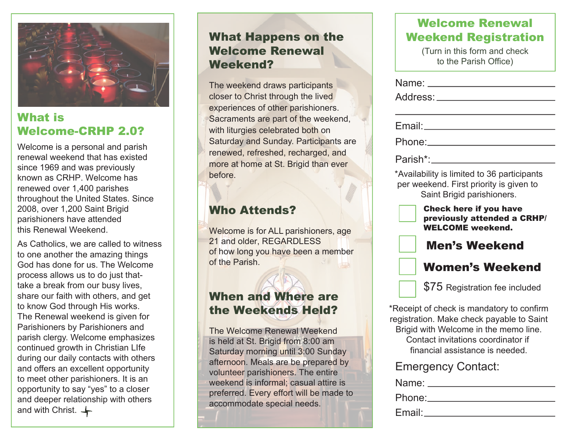

## What is Welcome-CRHP 2.0?

Welcome is a personal and parish renewal weekend that has existed since 1969 and was previously known as CRHP. Welcome has renewed over 1,400 parishes throughout the United States. Since 2008, over 1,200 Saint Brigid parishioners have attended this Renewal Weekend.

As Catholics, we are called to witness to one another the amazing things God has done for us. The Welcome process allows us to do just thattake a break from our busy lives, share our faith with others, and get to know God through His works. The Renewal weekend is given for Parishioners by Parishioners and parish clergy. Welcome emphasizes continued growth in Christian LIfe during our daily contacts with others and offers an excellent opportunity to meet other parishioners. It is an opportunity to say "yes" to a closer and deeper relationship with others and with Christ.  $\leftarrow$ 

## What Happens on the Welcome Renewal Weekend?

The weekend draws participants closer to Christ through the lived experiences of other parishioners. Sacraments are part of the weekend, with liturgies celebrated both on Saturday and Sunday. Participants are renewed, refreshed, recharged, and more at home at St. Brigid than ever before.

# Who Attends?

Welcome is for ALL parishioners, age 21 and older, REGARDLESS of how long you have been a member of the Parish.

# When and Where are the Weekends Held?

The Welcome Renewal Weekend is held at St. Brigid from 8:00 am Saturday morning until 3:00 Sunday afternoon. Meals are be prepared by volunteer parishioners. The entire weekend is informal; casual attire is preferred. Every effort will be made to accommodate special needs.

## Welcome Renewal Weekend Registration

(Turn in this form and check to the Parish Office)

| Name: ____                                                                                                                                                                                               |  |  |  |
|----------------------------------------------------------------------------------------------------------------------------------------------------------------------------------------------------------|--|--|--|
| Address:                                                                                                                                                                                                 |  |  |  |
|                                                                                                                                                                                                          |  |  |  |
| Email: The Email: The Theory                                                                                                                                                                             |  |  |  |
| Phone: The Phone                                                                                                                                                                                         |  |  |  |
|                                                                                                                                                                                                          |  |  |  |
| *Availability is limited to 36 participants<br>per weekend. First priority is given to<br>Saint Brigid parishioners.                                                                                     |  |  |  |
| <b>Check here if you have</b><br>previously attended a CRHP/<br><b>WELCOME</b> weekend.                                                                                                                  |  |  |  |
| <b>Men's Weekend</b>                                                                                                                                                                                     |  |  |  |
| <b>Women's Weekend</b>                                                                                                                                                                                   |  |  |  |
| \$75 Registration fee included                                                                                                                                                                           |  |  |  |
| *Receipt of check is mandatory to confirm<br>registration. Make check payable to Saint<br>Brigid with Welcome in the memo line.<br>Contact invitations coordinator if<br>financial assistance is needed. |  |  |  |
| <b>Emergency Contact:</b>                                                                                                                                                                                |  |  |  |

| Name: $\_\_$  |                 |
|---------------|-----------------|
|               | Phone:_________ |
| Email: Email: |                 |